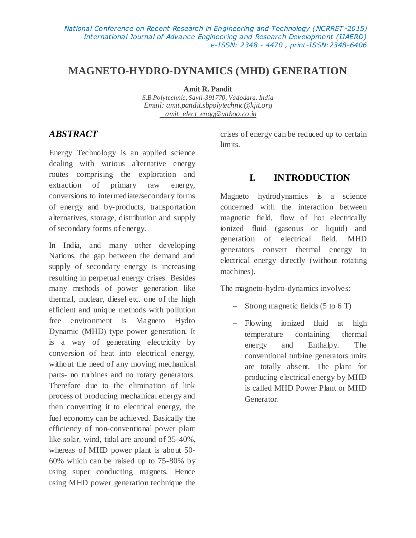# **MAGNETO-HYDRO-DYNAMICS (MHD) GENERATION**

**Amit R. Pandit**

*S.B.Polytechnic, Savli-391770, Vadodara. India Email: [amit.pandit.sbpolytechnic@kjit.org](mailto:amit.pandit.sbpolytechnic@kjit.org) amit\_elect\_engg@yahoo.co.in*

# *ABSTRACT*

Energy Technology is an applied science dealing with various alternative energy routes comprising the exploration and extraction of primary raw energy, conversions to intermediate/secondary forms of energy and by-products, transportation alternatives, storage, distribution and supply of secondary forms of energy.

In India, and many other developing Nations, the gap between the demand and supply of secondary energy is increasing resulting in perpetual energy crises. Besides many methods of power generation like thermal, nuclear, diesel etc. one of the high efficient and unique methods with pollution free environment is Magneto Hydro Dynamic (MHD) type power generation. It is a way of generating electricity by conversion of heat into electrical energy, without the need of any moving mechanical parts- no turbines and no rotary generators. Therefore due to the elimination of link process of producing mechanical energy and then converting it to electrical energy, the fuel economy can be achieved. Basically the efficiency of non-conventional power plant like solar, wind, tidal are around of 35-40%, whereas of MHD power plant is about 50- 60% which can be raised up to 75-80% by using super conducting magnets. Hence using MHD power generation technique the

crises of energy can be reduced up to certain limits.

# **I. INTRODUCTION**

Magneto hydrodynamics is a science concerned with the interaction between magnetic field, flow of hot electrically ionized fluid (gaseous or liquid) and generation of electrical field. MHD generators convert thermal energy to electrical energy directly (without rotating machines).

The magneto-hydro-dynamics involves:

- Strong magnetic fields (5 to 6 T)
- Flowing ionized fluid at high temperature containing thermal energy and Enthalpy. The conventional turbine generators units are totally absent. The plant for producing electrical energy by MHD is called MHD Power Plant or MHD Generator.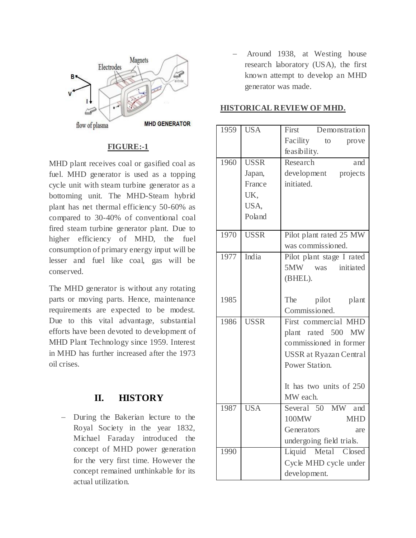

### **FIGURE:-1**

MHD plant receives coal or gasified coal as fuel. MHD generator is used as a topping cycle unit with steam turbine generator as a bottoming unit. The MHD-Steam hybrid plant has net thermal efficiency 50-60% as compared to 30-40% of conventional coal fired steam turbine generator plant. Due to higher efficiency of MHD, the fuel consumption of primary energy input will be lesser and fuel like coal, gas will be conserved.

The MHD generator is without any rotating parts or moving parts. Hence, maintenance requirements are expected to be modest. Due to this vital advantage, substantial efforts have been devoted to development of MHD Plant Technology since 1959. Interest in MHD has further increased after the 1973 oil crises.

# **II. HISTORY**

- During the Bakerian lecture to the Royal Society in the year 1832, Michael Faraday introduced the concept of MHD power generation for the very first time. However the concept remained unthinkable for its actual utilization.

 Around 1938, at Westing house research laboratory (USA), the first known attempt to develop an MHD generator was made.

### **HISTORICAL REVIEW OF MHD.**

| 1959 | <b>USA</b>  | First Demonstration                             |
|------|-------------|-------------------------------------------------|
|      |             | Facility to<br>prove                            |
|      |             | feasibility.                                    |
| 1960 | <b>USSR</b> | Research<br>and                                 |
|      | Japan,      | development projects                            |
|      | France      | initiated.                                      |
|      | UK.         |                                                 |
|      | USA,        |                                                 |
|      | Poland      |                                                 |
|      |             |                                                 |
| 1970 | <b>USSR</b> | Pilot plant rated 25 MW                         |
|      |             | was commissioned.                               |
| 1977 | India       | Pilot plant stage I rated                       |
|      |             | 5MW was initiated                               |
|      |             | (BHEL).                                         |
|      |             |                                                 |
| 1985 |             | The pilot plant                                 |
|      |             | Commissioned.                                   |
| 1986 | <b>USSR</b> | First commercial MHD                            |
|      |             | plant rated 500 MW                              |
|      |             | commissioned in former                          |
|      |             | <b>USSR</b> at Ryazan Central                   |
|      |             | Power Station.                                  |
|      |             |                                                 |
|      |             | It has two units of 250                         |
| 1987 | <b>USA</b>  | MW each.<br>Several 50 MW and                   |
|      |             |                                                 |
|      |             | 100MW<br><b>MHD</b>                             |
|      |             | Generators<br>are                               |
| 1990 |             | undergoing field trials.<br>Liquid Metal Closed |
|      |             |                                                 |
|      |             | Cycle MHD cycle under                           |
|      |             | development.                                    |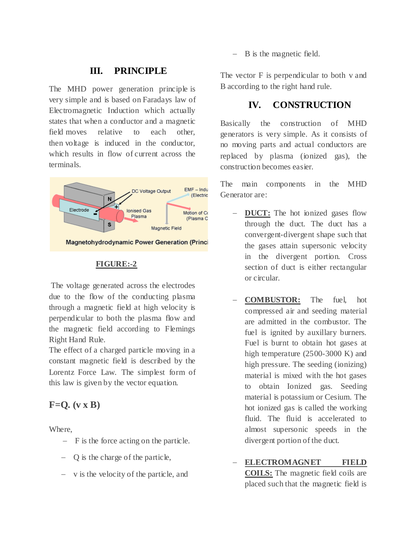### **III. PRINCIPLE**

The MHD power generation principle is very simple and is based on Faradays law of Electromagnetic Induction which actually states that when a conductor and a magnetic field moves relative to each other, then voltage is induced in the conductor, which results in flow of current across the terminals.



### **FIGURE:-2**

The voltage generated across the electrodes due to the flow of the conducting plasma through a magnetic field at high velocity is perpendicular to both the plasma flow and the magnetic field according to Flemings Right Hand Rule.

The effect of a charged particle moving in a constant magnetic field is described by the Lorentz Force Law. The simplest form of this law is given by the vector equation.

# **F=Q. (v x B)**

Where,

- $-$  F is the force acting on the particle.
- Q is the charge of the particle,
- v is the velocity of the particle, and

- B is the magnetic field.

The vector F is perpendicular to both v and B according to the right hand rule.

## **IV. CONSTRUCTION**

Basically the construction of MHD generators is very simple. As it consists of no moving parts and actual conductors are replaced by plasma (ionized gas), the construction becomes easier.

The main components in the MHD Generator are:

- **DUCT:** The hot ionized gases flow through the duct. The duct has a convergent-divergent shape such that the gases attain supersonic velocity in the divergent portion. Cross section of duct is either rectangular or circular.
- **COMBUSTOR:** The fuel, hot compressed air and seeding material are admitted in the combustor. The fuel is ignited by auxillary burners. Fuel is burnt to obtain hot gases at high temperature (2500-3000 K) and high pressure. The seeding (ionizing) material is mixed with the hot gases to obtain Ionized gas. Seeding material is potassium or Cesium. The hot ionized gas is called the working fluid. The fluid is accelerated to almost supersonic speeds in the divergent portion of the duct.
- **ELECTROMAGNET FIELD COILS:** The magnetic field coils are

placed such that the magnetic field is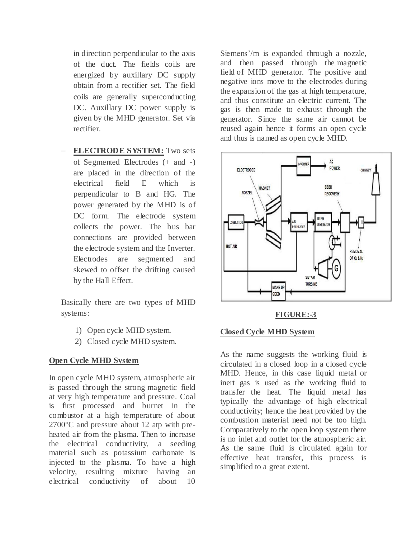in direction perpendicular to the axis of the duct. The fields coils are energized by auxillary DC supply obtain from a rectifier set. The field coils are generally superconducting DC. Auxillary DC power supply is given by the MHD generator. Set via rectifier.

 **ELECTRODE SYSTEM:** Two sets of Segmented Electrodes (+ and -) are placed in the direction of the electrical field E which is perpendicular to B and HG. The power generated by the MHD is of DC form. The electrode system collects the power. The bus bar connections are provided between the electrode system and the Inverter. Electrodes are segmented and skewed to offset the drifting caused by the Hall Effect.

Basically there are two types of MHD systems:

- 1) Open cycle MHD system.
- 2) Closed cycle MHD system.

### **Open Cycle MHD System**

In open cycle MHD system, atmospheric air is passed through the strong magnetic field at very high temperature and pressure. Coal is first processed and burnet in the combustor at a high temperature of about 2700°C and pressure about 12 atp with preheated air from the plasma. Then to increase the electrical conductivity, a seeding material such as potassium carbonate is injected to the plasma. To have a high velocity, resulting mixture having an electrical conductivity of about 10

Siemens'/m is expanded through a nozzle, and then passed through the magnetic field of MHD generator. The positive and negative ions move to the electrodes during the expansion of the gas at high temperature, and thus constitute an electric current. The gas is then made to exhaust through the generator. Since the same air cannot be reused again hence it forms an open cycle and thus is named as open cycle MHD.



#### **FIGURE:-3**

#### **Closed Cycle MHD System**

As the name suggests the working fluid is circulated in a closed loop in a closed cycle MHD. Hence, in this case liquid metal or inert gas is used as the working fluid to transfer the heat. The liquid metal has typically the advantage of high electrical conductivity; hence the heat provided by the combustion material need not be too high. Comparatively to the open loop system there is no inlet and outlet for the atmospheric air. As the same fluid is circulated again for effective heat transfer, this process is simplified to a great extent.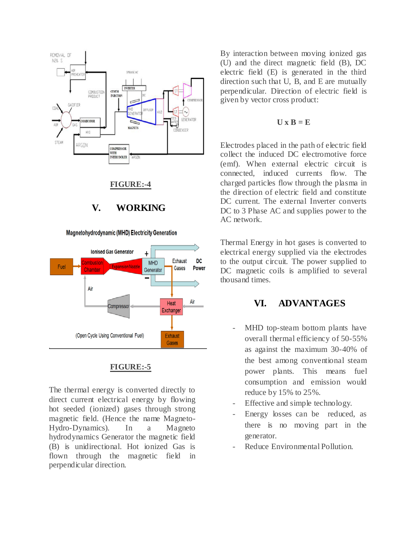



#### **FIGURE:-5**

The thermal energy is converted directly to direct current electrical energy by flowing hot seeded (ionized) gases through strong magnetic field. (Hence the name Magneto-Hydro-Dynamics). In a Magneto hydrodynamics Generator the magnetic field (B) is unidirectional. Hot ionized Gas is flown through the magnetic field in perpendicular direction.

By interaction between moving ionized gas (U) and the direct magnetic field (B), DC electric field (E) is generated in the third direction such that U, B, and E are mutually perpendicular. Direction of electric field is given by vector cross product:

#### $U \times B = E$

Electrodes placed in the path of electric field collect the induced DC electromotive force (emf). When external electric circuit is connected, induced currents flow. The charged particles flow through the plasma in the direction of electric field and constitute DC current. The external Inverter converts DC to 3 Phase AC and supplies power to the AC network.

Thermal Energy in hot gases is converted to electrical energy supplied via the electrodes to the output circuit. The power supplied to DC magnetic coils is amplified to several thousand times.

# **VI. ADVANTAGES**

- MHD top-steam bottom plants have overall thermal efficiency of 50-55% as against the maximum 30-40% of the best among conventional steam power plants. This means fuel consumption and emission would reduce by 15% to 25%.
- Effective and simple technology.
- Energy losses can be reduced, as there is no moving part in the generator.
- Reduce Environmental Pollution.